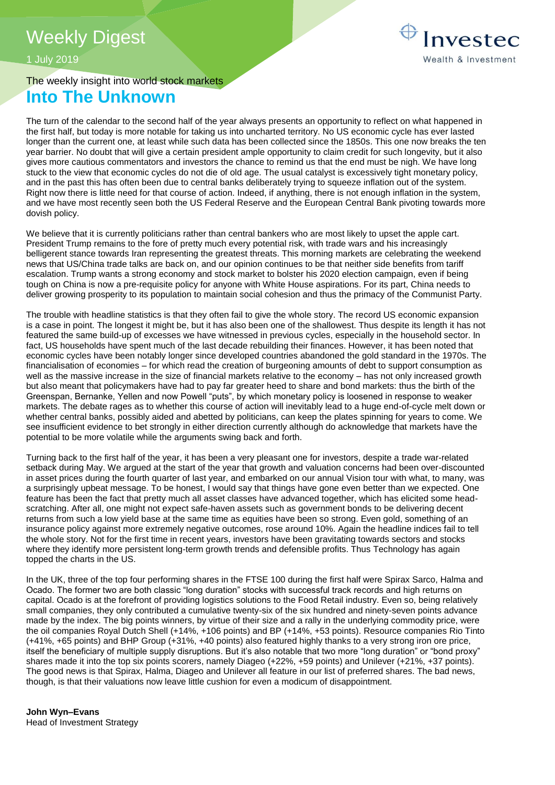Investec Wealth & Investment

# 1 July 2019

# The weekly insight into world stock markets **Into The Unknown**

The turn of the calendar to the second half of the year always presents an opportunity to reflect on what happened in the first half, but today is more notable for taking us into uncharted territory. No US economic cycle has ever lasted longer than the current one, at least while such data has been collected since the 1850s. This one now breaks the ten year barrier. No doubt that will give a certain president ample opportunity to claim credit for such longevity, but it also gives more cautious commentators and investors the chance to remind us that the end must be nigh. We have long stuck to the view that economic cycles do not die of old age. The usual catalyst is excessively tight monetary policy, and in the past this has often been due to central banks deliberately trying to squeeze inflation out of the system. Right now there is little need for that course of action. Indeed, if anything, there is not enough inflation in the system, and we have most recently seen both the US Federal Reserve and the European Central Bank pivoting towards more dovish policy.

We believe that it is currently politicians rather than central bankers who are most likely to upset the apple cart. President Trump remains to the fore of pretty much every potential risk, with trade wars and his increasingly belligerent stance towards Iran representing the greatest threats. This morning markets are celebrating the weekend news that US/China trade talks are back on, and our opinion continues to be that neither side benefits from tariff escalation. Trump wants a strong economy and stock market to bolster his 2020 election campaign, even if being tough on China is now a pre-requisite policy for anyone with White House aspirations. For its part, China needs to deliver growing prosperity to its population to maintain social cohesion and thus the primacy of the Communist Party.

The trouble with headline statistics is that they often fail to give the whole story. The record US economic expansion is a case in point. The longest it might be, but it has also been one of the shallowest. Thus despite its length it has not featured the same build-up of excesses we have witnessed in previous cycles, especially in the household sector. In fact, US households have spent much of the last decade rebuilding their finances. However, it has been noted that economic cycles have been notably longer since developed countries abandoned the gold standard in the 1970s. The financialisation of economies – for which read the creation of burgeoning amounts of debt to support consumption as well as the massive increase in the size of financial markets relative to the economy – has not only increased growth but also meant that policymakers have had to pay far greater heed to share and bond markets: thus the birth of the Greenspan, Bernanke, Yellen and now Powell "puts", by which monetary policy is loosened in response to weaker markets. The debate rages as to whether this course of action will inevitably lead to a huge end-of-cycle melt down or whether central banks, possibly aided and abetted by politicians, can keep the plates spinning for years to come. We see insufficient evidence to bet strongly in either direction currently although do acknowledge that markets have the potential to be more volatile while the arguments swing back and forth.

Turning back to the first half of the year, it has been a very pleasant one for investors, despite a trade war-related setback during May. We argued at the start of the year that growth and valuation concerns had been over-discounted in asset prices during the fourth quarter of last year, and embarked on our annual Vision tour with what, to many, was a surprisingly upbeat message. To be honest, I would say that things have gone even better than we expected. One feature has been the fact that pretty much all asset classes have advanced together, which has elicited some headscratching. After all, one might not expect safe-haven assets such as government bonds to be delivering decent returns from such a low yield base at the same time as equities have been so strong. Even gold, something of an insurance policy against more extremely negative outcomes, rose around 10%. Again the headline indices fail to tell the whole story. Not for the first time in recent years, investors have been gravitating towards sectors and stocks where they identify more persistent long-term growth trends and defensible profits. Thus Technology has again topped the charts in the US.

In the UK, three of the top four performing shares in the FTSE 100 during the first half were Spirax Sarco, Halma and Ocado. The former two are both classic "long duration" stocks with successful track records and high returns on capital. Ocado is at the forefront of providing logistics solutions to the Food Retail industry. Even so, being relatively small companies, they only contributed a cumulative twenty-six of the six hundred and ninety-seven points advance made by the index. The big points winners, by virtue of their size and a rally in the underlying commodity price, were the oil companies Royal Dutch Shell (+14%, +106 points) and BP (+14%, +53 points). Resource companies Rio Tinto (+41%, +65 points) and BHP Group (+31%, +40 points) also featured highly thanks to a very strong iron ore price, itself the beneficiary of multiple supply disruptions. But it's also notable that two more "long duration" or "bond proxy" shares made it into the top six points scorers, namely Diageo (+22%, +59 points) and Unilever (+21%, +37 points). The good news is that Spirax, Halma, Diageo and Unilever all feature in our list of preferred shares. The bad news, though, is that their valuations now leave little cushion for even a modicum of disappointment.

**John Wyn–Evans**  Head of Investment Strategy